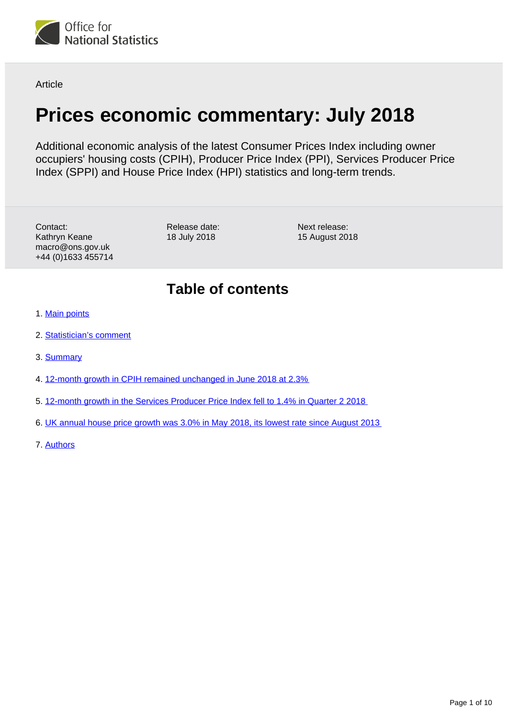

Article

# **Prices economic commentary: July 2018**

Additional economic analysis of the latest Consumer Prices Index including owner occupiers' housing costs (CPIH), Producer Price Index (PPI), Services Producer Price Index (SPPI) and House Price Index (HPI) statistics and long-term trends.

Contact: Kathryn Keane macro@ons.gov.uk +44 (0)1633 455714 Release date: 18 July 2018

Next release: 15 August 2018

## **Table of contents**

- 1. [Main points](#page-1-0)
- 2. [Statistician's comment](#page-1-1)
- 3. [Summary](#page-1-2)
- 4. [12-month growth in CPIH remained unchanged in June 2018 at 2.3%](#page-2-0)
- 5. [12-month growth in the Services Producer Price Index fell to 1.4% in Quarter 2 2018](#page-5-0)
- 6. [UK annual house price growth was 3.0% in May 2018, its lowest rate since August 2013](#page-7-0)
- 7. [Authors](#page-9-0)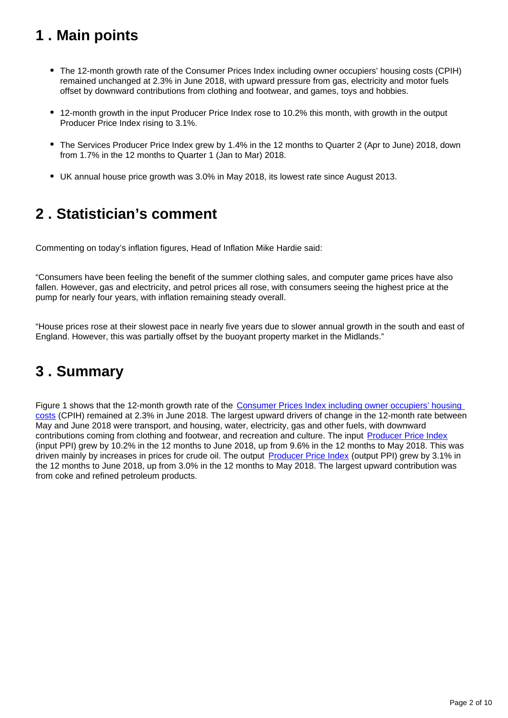# <span id="page-1-0"></span>**1 . Main points**

- The 12-month growth rate of the Consumer Prices Index including owner occupiers' housing costs (CPIH) remained unchanged at 2.3% in June 2018, with upward pressure from gas, electricity and motor fuels offset by downward contributions from clothing and footwear, and games, toys and hobbies.
- 12-month growth in the input Producer Price Index rose to 10.2% this month, with growth in the output Producer Price Index rising to 3.1%.
- The Services Producer Price Index grew by 1.4% in the 12 months to Quarter 2 (Apr to June) 2018, down from 1.7% in the 12 months to Quarter 1 (Jan to Mar) 2018.
- UK annual house price growth was 3.0% in May 2018, its lowest rate since August 2013.

# <span id="page-1-1"></span>**2 . Statistician's comment**

Commenting on today's inflation figures, Head of Inflation Mike Hardie said:

"Consumers have been feeling the benefit of the summer clothing sales, and computer game prices have also fallen. However, gas and electricity, and petrol prices all rose, with consumers seeing the highest price at the pump for nearly four years, with inflation remaining steady overall.

"House prices rose at their slowest pace in nearly five years due to slower annual growth in the south and east of England. However, this was partially offset by the buoyant property market in the Midlands."

# <span id="page-1-2"></span>**3 . Summary**

Figure 1 shows that the 12-month growth rate of the Consumer Prices Index including owner occupiers' housing [costs](https://www.ons.gov.uk/releases/ukconsumerpriceinflationjune2018) (CPIH) remained at 2.3% in June 2018. The largest upward drivers of change in the 12-month rate between May and June 2018 were transport, and housing, water, electricity, gas and other fuels, with downward contributions coming from clothing and footwear, and recreation and culture. The input [Producer Price Index](https://www.ons.gov.uk/releases/producerpriceinflationukjune2018) (input PPI) grew by 10.2% in the 12 months to June 2018, up from 9.6% in the 12 months to May 2018. This was driven mainly by increases in prices for crude oil. The output [Producer Price Index](https://www.ons.gov.uk/releases/producerpriceinflationukjune2018) (output PPI) grew by 3.1% in the 12 months to June 2018, up from 3.0% in the 12 months to May 2018. The largest upward contribution was from coke and refined petroleum products.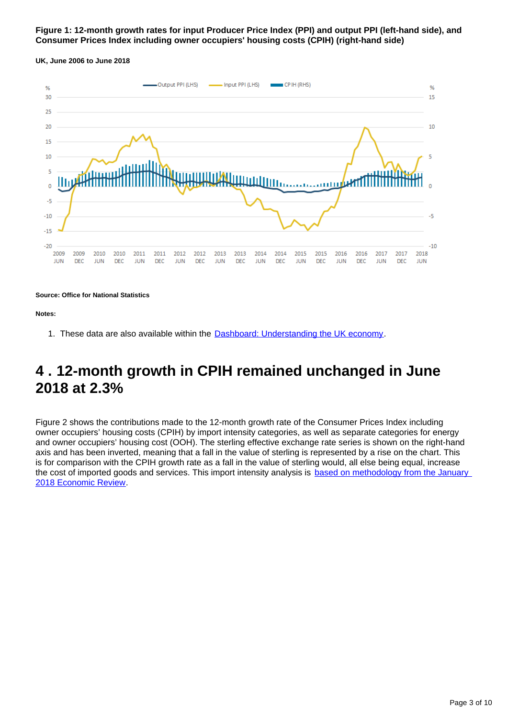### **Figure 1: 12-month growth rates for input Producer Price Index (PPI) and output PPI (left-hand side), and Consumer Prices Index including owner occupiers' housing costs (CPIH) (right-hand side)**





**Source: Office for National Statistics**

**Notes:**

1. These data are also available within the **[Dashboard: Understanding the UK economy](https://www.ons.gov.uk/economy/nationalaccounts/articles/dashboardunderstandingtheukeconomy/2017-02-22)**.

## <span id="page-2-0"></span>**4 . 12-month growth in CPIH remained unchanged in June 2018 at 2.3%**

Figure 2 shows the contributions made to the 12-month growth rate of the Consumer Prices Index including owner occupiers' housing costs (CPIH) by import intensity categories, as well as separate categories for energy and owner occupiers' housing cost (OOH). The sterling effective exchange rate series is shown on the right-hand axis and has been inverted, meaning that a fall in the value of sterling is represented by a rise on the chart. This is for comparison with the CPIH growth rate as a fall in the value of sterling would, all else being equal, increase the cost of imported goods and services. This import intensity analysis is based on methodology from the January [2018 Economic Review.](https://www.ons.gov.uk/economy/nationalaccounts/uksectoraccounts/articles/economicreview/january2018)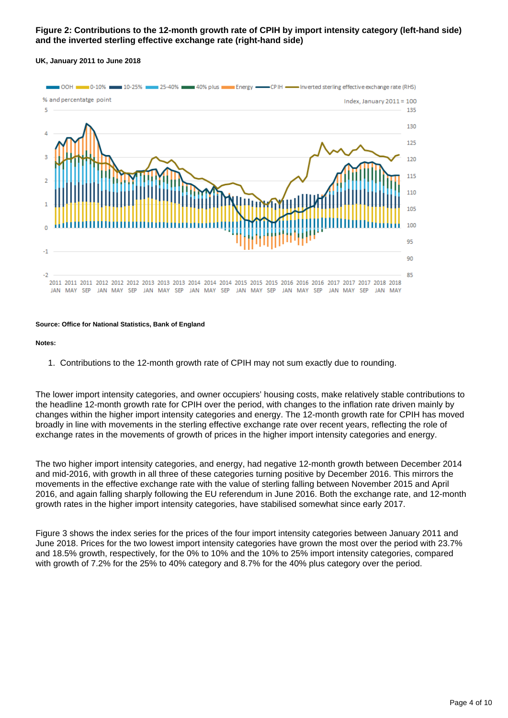### **Figure 2: Contributions to the 12-month growth rate of CPIH by import intensity category (left-hand side) and the inverted sterling effective exchange rate (right-hand side)**

#### **UK, January 2011 to June 2018**



#### **Source: Office for National Statistics, Bank of England**

#### **Notes:**

1. Contributions to the 12-month growth rate of CPIH may not sum exactly due to rounding.

The lower import intensity categories, and owner occupiers' housing costs, make relatively stable contributions to the headline 12-month growth rate for CPIH over the period, with changes to the inflation rate driven mainly by changes within the higher import intensity categories and energy. The 12-month growth rate for CPIH has moved broadly in line with movements in the sterling effective exchange rate over recent years, reflecting the role of exchange rates in the movements of growth of prices in the higher import intensity categories and energy.

The two higher import intensity categories, and energy, had negative 12-month growth between December 2014 and mid-2016, with growth in all three of these categories turning positive by December 2016. This mirrors the movements in the effective exchange rate with the value of sterling falling between November 2015 and April 2016, and again falling sharply following the EU referendum in June 2016. Both the exchange rate, and 12-month growth rates in the higher import intensity categories, have stabilised somewhat since early 2017.

Figure 3 shows the index series for the prices of the four import intensity categories between January 2011 and June 2018. Prices for the two lowest import intensity categories have grown the most over the period with 23.7% and 18.5% growth, respectively, for the 0% to 10% and the 10% to 25% import intensity categories, compared with growth of 7.2% for the 25% to 40% category and 8.7% for the 40% plus category over the period.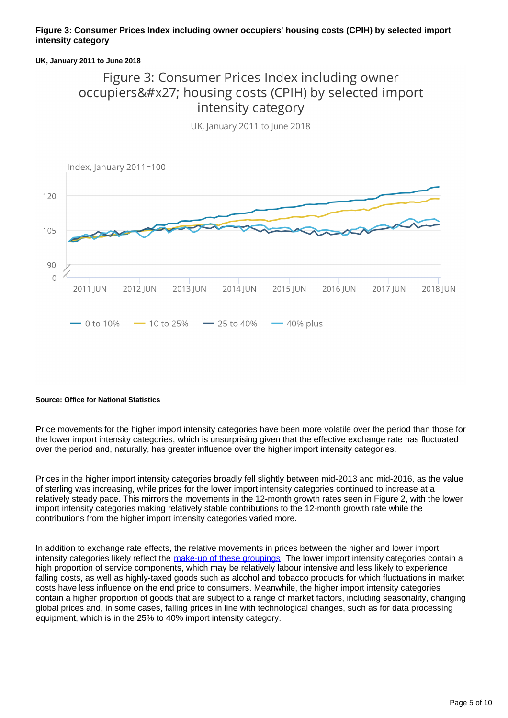### **Figure 3: Consumer Prices Index including owner occupiers' housing costs (CPIH) by selected import intensity category**

#### **UK, January 2011 to June 2018**

### Figure 3: Consumer Prices Index including owner occupiers' housing costs (CPIH) by selected import intensity category



UK, January 2011 to June 2018

#### **Source: Office for National Statistics**

Price movements for the higher import intensity categories have been more volatile over the period than those for the lower import intensity categories, which is unsurprising given that the effective exchange rate has fluctuated over the period and, naturally, has greater influence over the higher import intensity categories.

Prices in the higher import intensity categories broadly fell slightly between mid-2013 and mid-2016, as the value of sterling was increasing, while prices for the lower import intensity categories continued to increase at a relatively steady pace. This mirrors the movements in the 12-month growth rates seen in Figure 2, with the lower import intensity categories making relatively stable contributions to the 12-month growth rate while the contributions from the higher import intensity categories varied more.

In addition to exchange rate effects, the relative movements in prices between the higher and lower import intensity categories likely reflect the [make-up of these groupings](https://www.ons.gov.uk/economy/inflationandpriceindices/articles/priceseconomiccommentary/february2018/relateddata). The lower import intensity categories contain a high proportion of service components, which may be relatively labour intensive and less likely to experience falling costs, as well as highly-taxed goods such as alcohol and tobacco products for which fluctuations in market costs have less influence on the end price to consumers. Meanwhile, the higher import intensity categories contain a higher proportion of goods that are subject to a range of market factors, including seasonality, changing global prices and, in some cases, falling prices in line with technological changes, such as for data processing equipment, which is in the 25% to 40% import intensity category.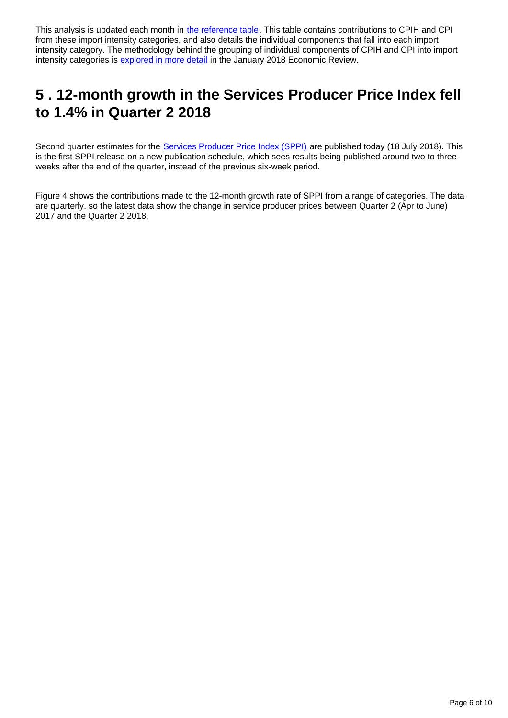This analysis is updated each month in [the reference table.](https://www.ons.gov.uk/economy/inflationandpriceindices/datasets/contributionstothe12monthrateofcpihbyimportintensity) This table contains contributions to CPIH and CPI from these import intensity categories, and also details the individual components that fall into each import intensity category. The methodology behind the grouping of individual components of CPIH and CPI into import intensity categories is **explored in more detail** in the January 2018 Economic Review.

# <span id="page-5-0"></span>**5 . 12-month growth in the Services Producer Price Index fell to 1.4% in Quarter 2 2018**

Second quarter estimates for the [Services Producer Price Index \(SPPI\)](https://www.ons.gov.uk/releases/servicesproducerpriceindexapriltojune2018) are published today (18 July 2018). This is the first SPPI release on a new publication schedule, which sees results being published around two to three weeks after the end of the quarter, instead of the previous six-week period.

Figure 4 shows the contributions made to the 12-month growth rate of SPPI from a range of categories. The data are quarterly, so the latest data show the change in service producer prices between Quarter 2 (Apr to June) 2017 and the Quarter 2 2018.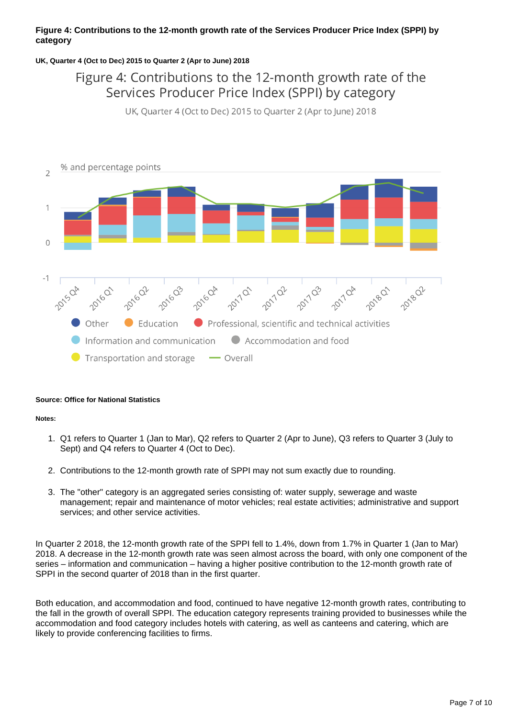### **Figure 4: Contributions to the 12-month growth rate of the Services Producer Price Index (SPPI) by category**

### **UK, Quarter 4 (Oct to Dec) 2015 to Quarter 2 (Apr to June) 2018**

### Figure 4: Contributions to the 12-month growth rate of the Services Producer Price Index (SPPI) by category

UK, Quarter 4 (Oct to Dec) 2015 to Quarter 2 (Apr to June) 2018



#### **Source: Office for National Statistics**

#### **Notes:**

- 1. Q1 refers to Quarter 1 (Jan to Mar), Q2 refers to Quarter 2 (Apr to June), Q3 refers to Quarter 3 (July to Sept) and Q4 refers to Quarter 4 (Oct to Dec).
- 2. Contributions to the 12-month growth rate of SPPI may not sum exactly due to rounding.
- 3. The "other" category is an aggregated series consisting of: water supply, sewerage and waste management; repair and maintenance of motor vehicles; real estate activities; administrative and support services; and other service activities.

In Quarter 2 2018, the 12-month growth rate of the SPPI fell to 1.4%, down from 1.7% in Quarter 1 (Jan to Mar) 2018. A decrease in the 12-month growth rate was seen almost across the board, with only one component of the series – information and communication – having a higher positive contribution to the 12-month growth rate of SPPI in the second quarter of 2018 than in the first quarter.

Both education, and accommodation and food, continued to have negative 12-month growth rates, contributing to the fall in the growth of overall SPPI. The education category represents training provided to businesses while the accommodation and food category includes hotels with catering, as well as canteens and catering, which are likely to provide conferencing facilities to firms.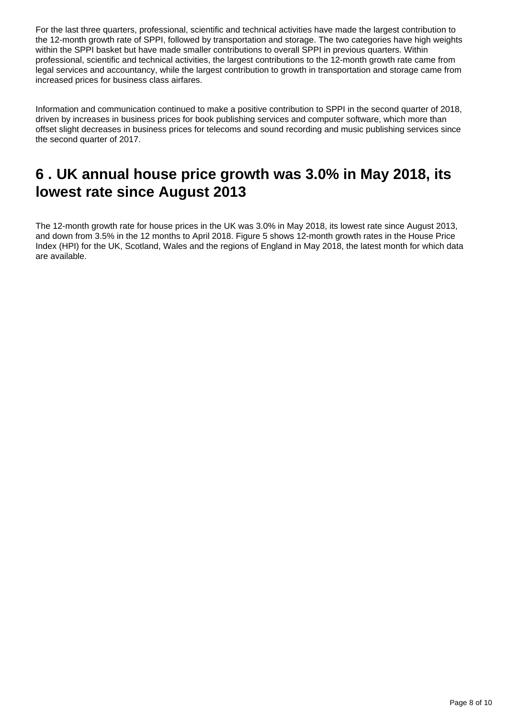For the last three quarters, professional, scientific and technical activities have made the largest contribution to the 12-month growth rate of SPPI, followed by transportation and storage. The two categories have high weights within the SPPI basket but have made smaller contributions to overall SPPI in previous quarters. Within professional, scientific and technical activities, the largest contributions to the 12-month growth rate came from legal services and accountancy, while the largest contribution to growth in transportation and storage came from increased prices for business class airfares.

Information and communication continued to make a positive contribution to SPPI in the second quarter of 2018, driven by increases in business prices for book publishing services and computer software, which more than offset slight decreases in business prices for telecoms and sound recording and music publishing services since the second quarter of 2017.

# <span id="page-7-0"></span>**6 . UK annual house price growth was 3.0% in May 2018, its lowest rate since August 2013**

The 12-month growth rate for house prices in the UK was 3.0% in May 2018, its lowest rate since August 2013, and down from 3.5% in the 12 months to April 2018. Figure 5 shows 12-month growth rates in the House Price Index (HPI) for the UK, Scotland, Wales and the regions of England in May 2018, the latest month for which data are available.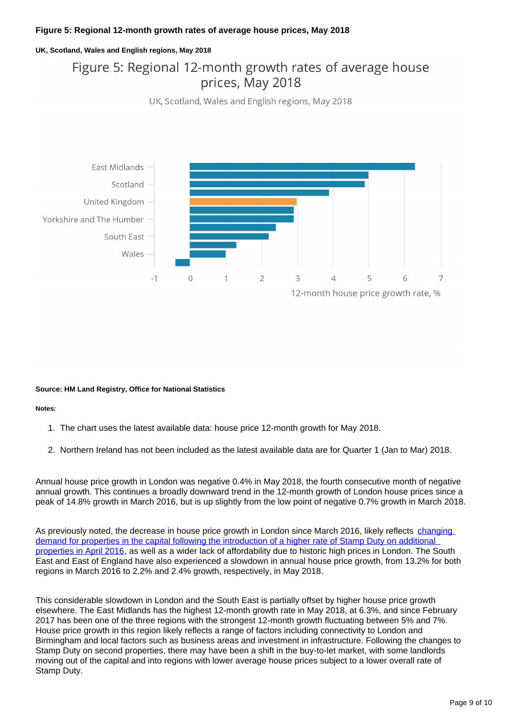### **Figure 5: Regional 12-month growth rates of average house prices, May 2018**

#### **UK, Scotland, Wales and English regions, May 2018**

### Figure 5: Regional 12-month growth rates of average house prices, May 2018

UK, Scotland, Wales and English regions, May 2018



#### **Source: HM Land Registry, Office for National Statistics**

#### **Notes:**

- 1. The chart uses the latest available data: house price 12-month growth for May 2018.
- 2. Northern Ireland has not been included as the latest available data are for Quarter 1 (Jan to Mar) 2018.

Annual house price growth in London was negative 0.4% in May 2018, the fourth consecutive month of negative annual growth. This continues a broadly downward trend in the 12-month growth of London house prices since a peak of 14.8% growth in March 2016, but is up slightly from the low point of negative 0.7% growth in March 2018.

As previously noted, the decrease in house price growth in London since March 2016, likely reflects [changing](https://www.ons.gov.uk/economy/inflationandpriceindices/articles/priceseconomiccommentary/april2018)  [demand for properties in the capital following the introduction of a higher rate of Stamp Duty on additional](https://www.ons.gov.uk/economy/inflationandpriceindices/articles/priceseconomiccommentary/april2018)  [properties in April 2016,](https://www.ons.gov.uk/economy/inflationandpriceindices/articles/priceseconomiccommentary/april2018) as well as a wider lack of affordability due to historic high prices in London. The South East and East of England have also experienced a slowdown in annual house price growth, from 13.2% for both regions in March 2016 to 2.2% and 2.4% growth, respectively, in May 2018.

This considerable slowdown in London and the South East is partially offset by higher house price growth elsewhere. The East Midlands has the highest 12-month growth rate in May 2018, at 6.3%, and since February 2017 has been one of the three regions with the strongest 12-month growth fluctuating between 5% and 7%. House price growth in this region likely reflects a range of factors including connectivity to London and Birmingham and local factors such as business areas and investment in infrastructure. Following the changes to Stamp Duty on second properties, there may have been a shift in the buy-to-let market, with some landlords moving out of the capital and into regions with lower average house prices subject to a lower overall rate of Stamp Duty.